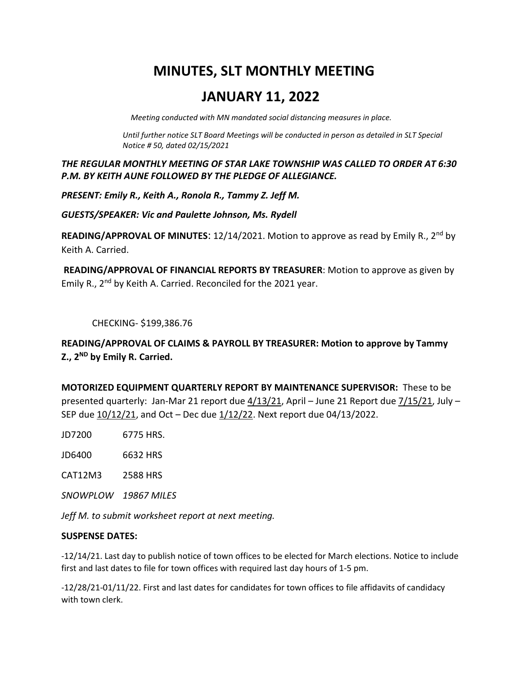# **MINUTES, SLT MONTHLY MEETING**

# **JANUARY 11, 2022**

 *Meeting conducted with MN mandated social distancing measures in place.* 

*Until further notice SLT Board Meetings will be conducted in person as detailed in SLT Special Notice # 50, dated 02/15/2021*

*THE REGULAR MONTHLY MEETING OF STAR LAKE TOWNSHIP WAS CALLED TO ORDER AT 6:30 P.M. BY KEITH AUNE FOLLOWED BY THE PLEDGE OF ALLEGIANCE.*

*PRESENT: Emily R., Keith A., Ronola R., Tammy Z. Jeff M.*

*GUESTS/SPEAKER: Vic and Paulette Johnson, Ms. Rydell*

**READING/APPROVAL OF MINUTES:** 12/14/2021. Motion to approve as read by Emily R., 2<sup>nd</sup> by Keith A. Carried.

**READING/APPROVAL OF FINANCIAL REPORTS BY TREASURER**: Motion to approve as given by Emily R., 2<sup>nd</sup> by Keith A. Carried. Reconciled for the 2021 year.

CHECKING- \$199,386.76

**READING/APPROVAL OF CLAIMS & PAYROLL BY TREASURER: Motion to approve by Tammy Z., 2ND by Emily R. Carried.**

**MOTORIZED EQUIPMENT QUARTERLY REPORT BY MAINTENANCE SUPERVISOR:** These to be presented quarterly: Jan-Mar 21 report due 4/13/21, April – June 21 Report due 7/15/21, July – SEP due  $10/12/21$ , and Oct – Dec due  $1/12/22$ . Next report due 04/13/2022.

JD7200 6775 HRS.

JD6400 6632 HRS

CAT12M3 2588 HRS

*SNOWPLOW 19867 MILES*

*Jeff M. to submit worksheet report at next meeting.*

# **SUSPENSE DATES:**

-12/14/21. Last day to publish notice of town offices to be elected for March elections. Notice to include first and last dates to file for town offices with required last day hours of 1-5 pm.

-12/28/21-01/11/22. First and last dates for candidates for town offices to file affidavits of candidacy with town clerk.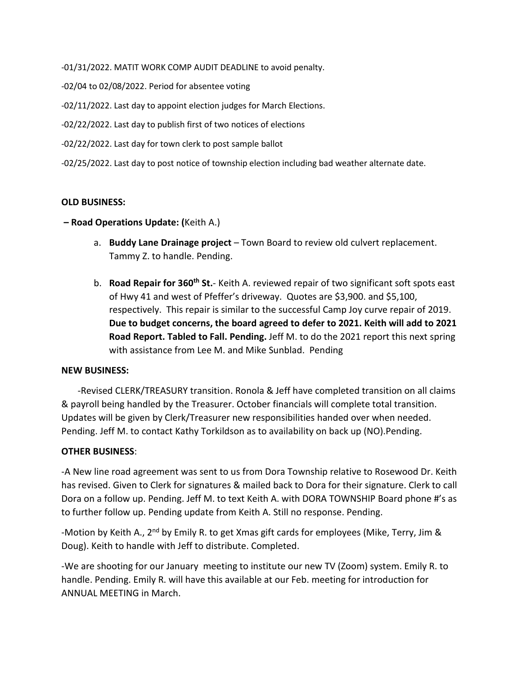-01/31/2022. MATIT WORK COMP AUDIT DEADLINE to avoid penalty.

- -02/04 to 02/08/2022. Period for absentee voting
- -02/11/2022. Last day to appoint election judges for March Elections.
- -02/22/2022. Last day to publish first of two notices of elections
- -02/22/2022. Last day for town clerk to post sample ballot
- -02/25/2022. Last day to post notice of township election including bad weather alternate date.

#### **OLD BUSINESS:**

#### **– Road Operations Update: (**Keith A.)

- a. **Buddy Lane Drainage project** Town Board to review old culvert replacement. Tammy Z. to handle. Pending.
- b. **Road Repair for 360th St.** Keith A. reviewed repair of two significant soft spots east of Hwy 41 and west of Pfeffer's driveway. Quotes are \$3,900. and \$5,100, respectively. This repair is similar to the successful Camp Joy curve repair of 2019. **Due to budget concerns, the board agreed to defer to 2021. Keith will add to 2021 Road Report. Tabled to Fall. Pending.** Jeff M. to do the 2021 report this next spring with assistance from Lee M. and Mike Sunblad. Pending

#### **NEW BUSINESS:**

 -Revised CLERK/TREASURY transition. Ronola & Jeff have completed transition on all claims & payroll being handled by the Treasurer. October financials will complete total transition. Updates will be given by Clerk/Treasurer new responsibilities handed over when needed. Pending. Jeff M. to contact Kathy Torkildson as to availability on back up (NO).Pending.

# **OTHER BUSINESS**:

-A New line road agreement was sent to us from Dora Township relative to Rosewood Dr. Keith has revised. Given to Clerk for signatures & mailed back to Dora for their signature. Clerk to call Dora on a follow up. Pending. Jeff M. to text Keith A. with DORA TOWNSHIP Board phone #'s as to further follow up. Pending update from Keith A. Still no response. Pending.

-Motion by Keith A., 2<sup>nd</sup> by Emily R. to get Xmas gift cards for employees (Mike, Terry, Jim & Doug). Keith to handle with Jeff to distribute. Completed.

-We are shooting for our January meeting to institute our new TV (Zoom) system. Emily R. to handle. Pending. Emily R. will have this available at our Feb. meeting for introduction for ANNUAL MEETING in March.